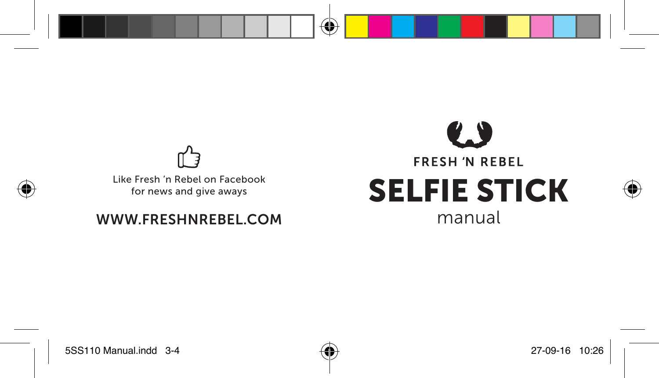

Like Fresh 'n Rebel on Facebook for news and give aways

### WWW.FRESHNREBEL.COM manual

# $\bullet$ **FRESH 'N REBEL** SELFIE STICK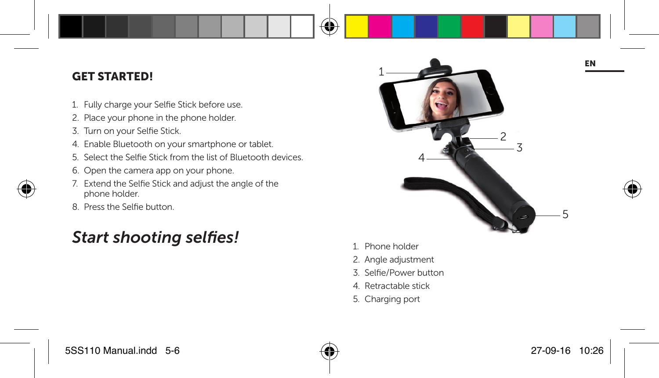#### GET STARTED!

- 1. Fully charge your Selfie Stick before use.
- 2. Place your phone in the phone holder.
- 3. Turn on your Selfie Stick.
- 4. Enable Bluetooth on your smartphone or tablet.
- 5. Select the Selfie Stick from the list of Bluetooth devices.
- 6. Open the camera app on your phone.
- 7. Extend the Selfie Stick and adjust the angle of the phone holder.
- 8. Press the Selfie button.

### **Start shooting selfies!** 1. Phone holder



- 
- 2. Angle adjustment
- 3. Selfie/Power button
- 4. Retractable stick
- 5. Charging port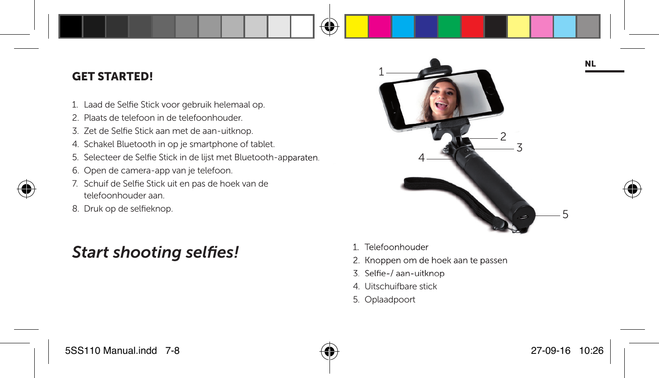#### GET STARTED!

- 1. Laad de Selfie Stick voor gebruik helemaal op.
- 2. Plaats de telefoon in de telefoonhouder.
- 3. Zet de Selfie Stick aan met de aan-uitknop.
- 4. Schakel Bluetooth in op je smartphone of tablet.
- 5. Selecteer de Selfie Stick in de lijst met Bluetooth-apparaten.
- 6. Open de camera-app van je telefoon.
- 7. Schuif de Selfie Stick uit en pas de hoek van de telefoonhouder aan.
- 8. Druk op de selfieknop.

### **Start shooting selfies!** 1. Telefoonhouder



- 
- 2. Knoppen om de hoek aan te passen
- 3. Selfie-/ aan-uitknop
- 4. Uitschuifbare stick
- 5. Oplaadpoort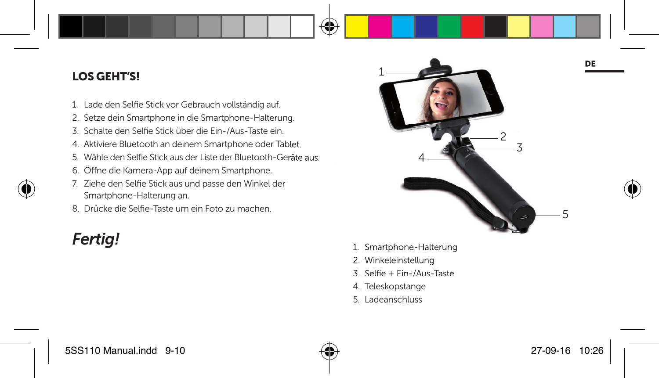#### LOS GEHT'S!

- 1. Lade den Selfie Stick vor Gebrauch vollständig auf.
- 2. Setze dein Smartphone in die Smartphone-Halterung.
- 3. Schalte den Selfie Stick über die Ein-/Aus-Taste ein.
- 4. Aktiviere Bluetooth an deinem Smartphone oder Tablet.
- 5. Wähle den Selfie Stick aus der Liste der Bluetooth-Geräte aus.
- 6. Öffne die Kamera-App auf deinem Smartphone.
- 7. Ziehe den Selfie Stick aus und passe den Winkel der Smartphone-Halterung an.
- 8. Drücke die Selfie-Taste um ein Foto zu machen.



- **Fertig!** 1. Smartphone-Halterung
	- 2. Winkeleinstellung
	- 3. Selfie + Fin-/Aus-Taste
	- 4. Teleskopstange
	- 5. Ladeanschluss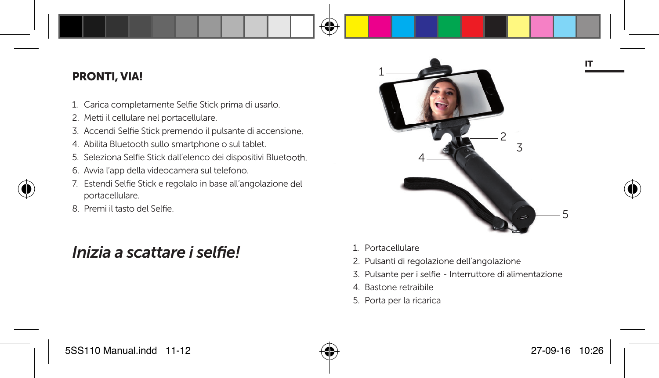#### PRONTI, VIA!

- 1. Carica completamente Selfie Stick prima di usarlo.
- 2. Metti il cellulare nel portacellulare.
- 3. Accendi Selfie Stick premendo il pulsante di accensione.
- 4. Abilita Bluetooth sullo smartphone o sul tablet.
- 5. Seleziona Selfie Stick dall'elenco dei dispositivi Bluetooth.
- 6. Avvia l'app della videocamera sul telefono.
- 7. Estendi Selfie Stick e regolalo in base all'angolazione del portacellulare.
- 8. Premi il tasto del Selfie.

### *Inizia a scattare i selfiel* 1. Portacellulare



- 
- 2. Pulsanti di regolazione dell'angolazione
- 3. Pulsante per i selfie Interruttore di alimentazione
- 4. Bastone retraibile
- 5. Porta per la ricarica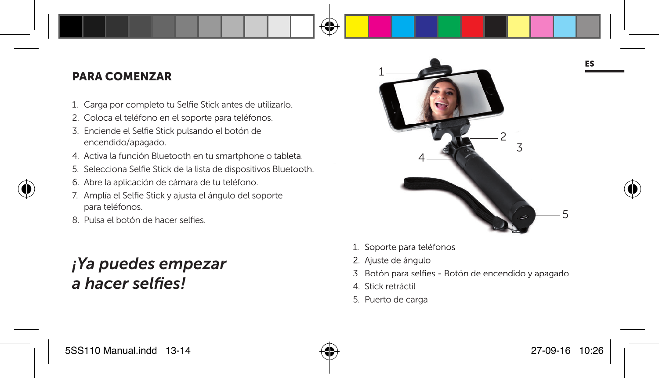### PARA COMENZAR

- 1. Carga por completo tu Selfie Stick antes de utilizarlo.
- 2. Coloca el teléfono en el soporte para teléfonos.
- 3. Enciende el Selfie Stick pulsando el botón de encendido/apagado.
- 4. Activa la función Bluetooth en tu smartphone o tableta.
- 5. Selecciona Selfie Stick de la lista de dispositivos Bluetooth.
- 6. Abre la aplicación de cámara de tu teléfono.
- 7. Amplía el Selfie Stick y ajusta el ángulo del soporte para teléfonos.
- 8. Pulsa el botón de hacer selfies.

### *¡Ya puedes empezar*  a hacer selfies!



- 1. Soporte para teléfonos
- 2. Ajuste de ángulo
- 3. Botón para selfies Botón de encendido y apagado
- 4. Stick retráctil
- 5. Puerto de carga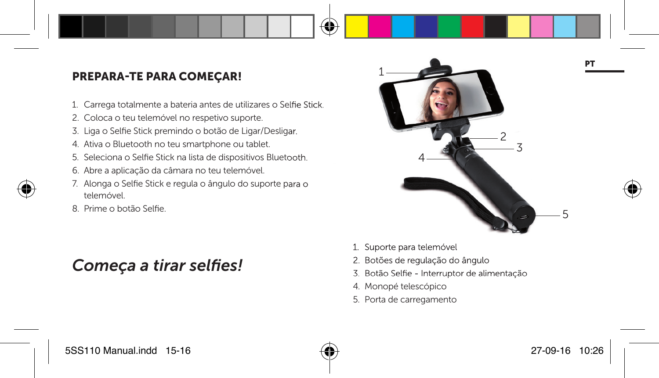### PREPARA-TE PARA COMEÇAR!

- 1. Carrega totalmente a bateria antes de utilizares o Selfie Stick.
- 2. Coloca o teu telemóvel no respetivo suporte.
- 3. Liga o Selfie Stick premindo o botão de Ligar/Desligar.
- 4. Ativa o Bluetooth no teu smartphone ou tablet.
- 5. Seleciona o Selfie Stick na lista de dispositivos Bluetooth.
- 6. Abre a aplicação da câmara no teu telemóvel.
- 7. Alonga o Selfie Stick e regula o ângulo do suporte para o telemóvel.
- 8. Prime o botão Selfie.

### Começa a tirar selfies!



- 1. Suporte para telemóvel
- 2. Botões de regulação do ângulo
- 3. Botão Selfie Interruptor de alimentação
- 4. Monopé telescópico
- 5. Porta de carregamento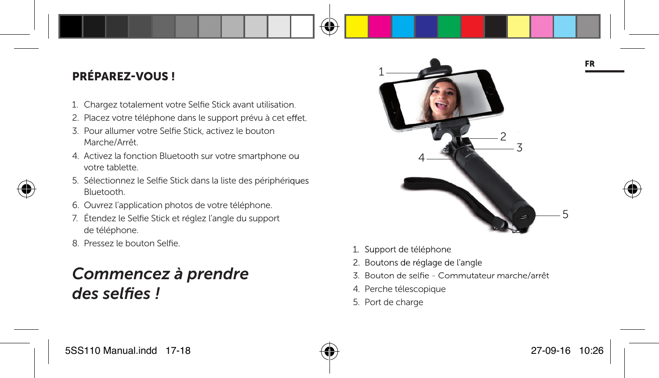### PRÉPAREZ-VOUS !

- 1. Chargez totalement votre Selfie Stick avant utilisation.
- 2. Placez votre téléphone dans le support prévu à cet effet.
- 3. Pour allumer votre Selfie Stick, activez le bouton Marche/Arrêt.
- 4. Activez la fonction Bluetooth sur votre smartphone ou votre tablette.
- 5. Sélectionnez le Selfie Stick dans la liste des périphériques Bluetooth.
- 6. Ouvrez l'application photos de votre téléphone.
- 7. Étendez le Selfie Stick et réglez l'angle du support de téléphone.
- 8. Pressez le bouton Selfie.

### *Commencez à prendre des selfi es !*



- 1. Support de téléphone
- 2. Boutons de réglage de l'angle
- 3. Bouton de selfie Commutateur marche/arrêt
- 4. Perche télescopique
- 5. Port de charge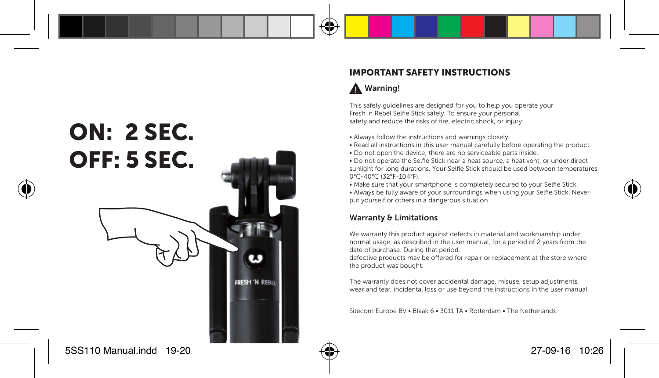## ON: 2 SEC. OFF: 5 SEC.

**FRESH 'N REB** 

#### IMPORTANT SAFETY INSTRUCTIONS

#### Warning!

This safety guidelines are designed for you to help you operate your Fresh 'n Rebel Selfie Stick safely. To ensure your personal safety and reduce the risks of fire, electric shock, or injury:

- Always follow the instructions and warnings closely.
- Read all instructions in this user manual carefully before operating the product.
- Do not open the device; there are no serviceable parts inside.
- Do not operate the Selfie Stick near a heat source, a heat vent, or under direct sunlight for long durations. Your Selfie Stick should be used between temperatures 0°C-40°C (32°F-104°F).
- Make sure that your smartphone is completely secured to your Selfie Stick.

• Always be fully aware of your surroundings when using your Selfie Stick. Never put yourself or others in a dangerous situation

#### Warranty & Limitations

We warranty this product against defects in material and workmanship under normal usage, as described in the user manual, for a period of 2 years from the date of purchase. During that period,

defective products may be offered for repair or replacement at the store where the product was bought.

The warranty does not cover accidental damage, misuse, setup adjustments, wear and tear, incidental loss or use beyond the instructions in the user manual.

Sitecom Europe BV • Blaak 6 • 3011 TA • Rotterdam • The Netherlands